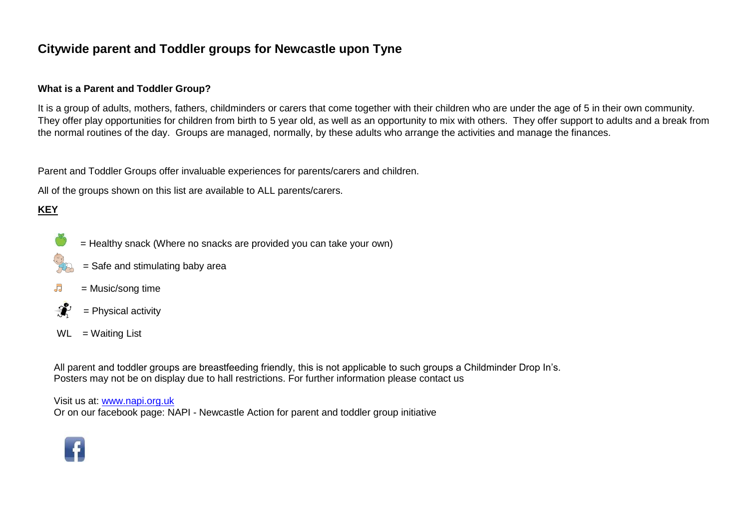# **Citywide parent and Toddler groups for Newcastle upon Tyne**

#### **What is a Parent and Toddler Group?**

It is a group of adults, mothers, fathers, childminders or carers that come together with their children who are under the age of 5 in their own community. They offer play opportunities for children from birth to 5 year old, as well as an opportunity to mix with others. They offer support to adults and a break from the normal routines of the day. Groups are managed, normally, by these adults who arrange the activities and manage the finances.

Parent and Toddler Groups offer invaluable experiences for parents/carers and children.

All of the groups shown on this list are available to ALL parents/carers.

## **KEY**

= Healthy snack (Where no snacks are provided you can take your own)



- = Safe and stimulating baby area
- $\overline{\mathsf{d}}$ = Music/song time
- $\mathbf{r}$ = Physical activity
- $WL = Waiting List$

All parent and toddler groups are breastfeeding friendly, this is not applicable to such groups a Childminder Drop In's. Posters may not be on display due to hall restrictions. For further information please contact us

Visit us at: [www.napi.org.uk](http://www.napi.org.uk/)

Or on our facebook page: NAPI - Newcastle Action for parent and toddler group initiative

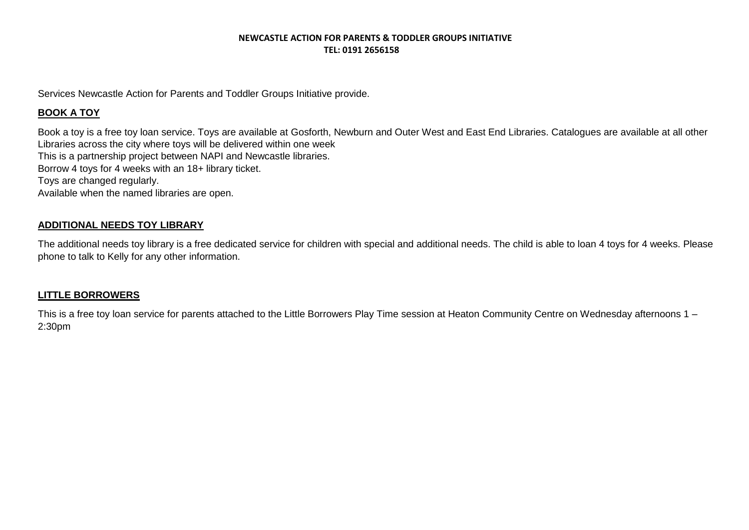Services Newcastle Action for Parents and Toddler Groups Initiative provide.

### **BOOK A TOY**

Book a toy is a free toy loan service. Toys are available at Gosforth, Newburn and Outer West and East End Libraries. Catalogues are available at all other Libraries across the city where toys will be delivered within one week This is a partnership project between NAPI and Newcastle libraries. Borrow 4 toys for 4 weeks with an 18+ library ticket. Toys are changed regularly. Available when the named libraries are open.

#### **ADDITIONAL NEEDS TOY LIBRARY**

The additional needs toy library is a free dedicated service for children with special and additional needs. The child is able to loan 4 toys for 4 weeks. Please phone to talk to Kelly for any other information.

#### **LITTLE BORROWERS**

This is a free toy loan service for parents attached to the Little Borrowers Play Time session at Heaton Community Centre on Wednesday afternoons 1 – 2:30pm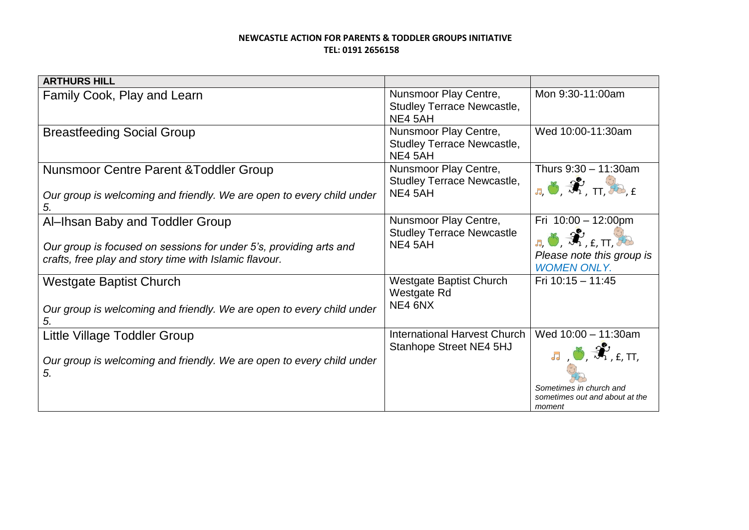| <b>ARTHURS HILL</b>                                                                                                                                             |                                                                       |                                                                                                                                                                                                    |
|-----------------------------------------------------------------------------------------------------------------------------------------------------------------|-----------------------------------------------------------------------|----------------------------------------------------------------------------------------------------------------------------------------------------------------------------------------------------|
| Family Cook, Play and Learn                                                                                                                                     | Nunsmoor Play Centre,<br><b>Studley Terrace Newcastle,</b><br>NE4 5AH | Mon 9:30-11:00am                                                                                                                                                                                   |
| <b>Breastfeeding Social Group</b>                                                                                                                               | Nunsmoor Play Centre,<br><b>Studley Terrace Newcastle,</b><br>NE4 5AH | Wed 10:00-11:30am                                                                                                                                                                                  |
| <b>Nunsmoor Centre Parent &amp; Toddler Group</b><br>Our group is welcoming and friendly. We are open to every child under<br>5.                                | Nunsmoor Play Centre,<br><b>Studley Terrace Newcastle,</b><br>NE4 5AH | Thurs $9:30 - 11:30$ am<br>$J_{\rm d}$ , $\mathcal{L}_{\rm H}$ , $\mathcal{L}_{\rm H}$ , $\mathcal{L}_{\rm H}$                                                                                     |
| Al-Ihsan Baby and Toddler Group<br>Our group is focused on sessions for under 5's, providing arts and<br>crafts, free play and story time with Islamic flavour. | Nunsmoor Play Centre,<br><b>Studley Terrace Newcastle</b><br>NE4 5AH  | Fri $10:00 - 12:00$ pm<br>$\mathbf{J}_{\mathbf{J}_1}$ , $\mathbf{J}_{\mathbf{J}_2}$ , $\mathbf{J}_{\mathbf{L}_1}$ , $\mathbf{L}_{\mathbf{L}_2}$<br>Please note this group is<br><b>WOMEN ONLY.</b> |
| <b>Westgate Baptist Church</b><br>Our group is welcoming and friendly. We are open to every child under<br>5.                                                   | <b>Westgate Baptist Church</b><br>Westgate Rd<br>NE4 6NX              | Fri $10:15 - 11:45$                                                                                                                                                                                |
| Little Village Toddler Group<br>Our group is welcoming and friendly. We are open to every child under<br>5.                                                     | <b>International Harvest Church</b><br>Stanhope Street NE4 5HJ        | Wed $10:00 - 11:30$ am<br>$J$ , $\mathcal{O}, \mathcal{R}$ , $f$ , $T$ ,<br>Sometimes in church and<br>sometimes out and about at the<br>moment                                                    |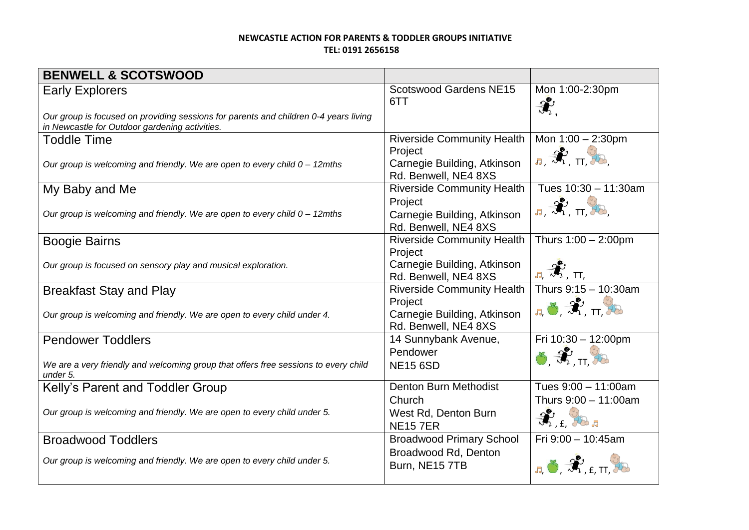| <b>BENWELL &amp; SCOTSWOOD</b>                                                                                                         |                                                                |                                                                                             |
|----------------------------------------------------------------------------------------------------------------------------------------|----------------------------------------------------------------|---------------------------------------------------------------------------------------------|
| <b>Early Explorers</b>                                                                                                                 | <b>Scotswood Gardens NE15</b><br>6TT                           | Mon 1:00-2:30pm<br>$\hat{\mathcal{X}}$                                                      |
| Our group is focused on providing sessions for parents and children 0-4 years living<br>in Newcastle for Outdoor gardening activities. |                                                                |                                                                                             |
| <b>Toddle Time</b>                                                                                                                     | <b>Riverside Community Health</b>                              | Mon $1:00 - 2:30$ pm                                                                        |
| Our group is welcoming and friendly. We are open to every child 0 - 12mths                                                             | Project<br>Carnegie Building, Atkinson<br>Rd. Benwell, NE4 8XS | $\pi$ , $\hat{\mathcal{H}}$ , $\pi$ , $\hat{\mathcal{H}}$                                   |
| My Baby and Me                                                                                                                         | <b>Riverside Community Health</b>                              | Tues 10:30 - 11:30am                                                                        |
| Our group is welcoming and friendly. We are open to every child $0 - 12$ mths                                                          | Project<br>Carnegie Building, Atkinson<br>Rd. Benwell, NE4 8XS | $J_{\rm d}$ , $\hat{\mathcal{H}}$ , $_{\rm TL}$ , $\hat{\mathcal{H}}$                       |
| <b>Boogie Bairns</b>                                                                                                                   | <b>Riverside Community Health</b>                              | Thurs $1:00 - 2:00$ pm                                                                      |
| Our group is focused on sensory play and musical exploration.                                                                          | Project<br>Carnegie Building, Atkinson<br>Rd. Benwell, NE4 8XS | $\mathbf{J}_{\mathbf{J}_{1}}$ $\mathbf{J}_{\mathbf{J}_{1}}^{\mathbf{y}}$ , $\mathbf{H}_{1}$ |
| <b>Breakfast Stay and Play</b>                                                                                                         | <b>Riverside Community Health</b>                              | Thurs 9:15 - 10:30am                                                                        |
| Our group is welcoming and friendly. We are open to every child under 4.                                                               | Project<br>Carnegie Building, Atkinson<br>Rd. Benwell, NE4 8XS | $J_1$ , $\overline{\mathcal{N}}$ , $\overline{\mathcal{N}}$ , $\overline{\mathcal{N}}$      |
| <b>Pendower Toddlers</b>                                                                                                               | 14 Sunnybank Avenue,                                           | Fri 10:30 - 12:00pm                                                                         |
| We are a very friendly and welcoming group that offers free sessions to every child<br>under 5.                                        | Pendower<br><b>NE15 6SD</b>                                    | $8\frac{1}{20}$ $\pi\frac{3}{20}$                                                           |
| Kelly's Parent and Toddler Group                                                                                                       | <b>Denton Burn Methodist</b>                                   | Tues 9:00 - 11:00am                                                                         |
|                                                                                                                                        | Church                                                         | Thurs 9:00 - 11:00am                                                                        |
| Our group is welcoming and friendly. We are open to every child under 5.                                                               | West Rd, Denton Burn<br><b>NE157ER</b>                         | $\hat{\mathcal{H}}_{\text{1},\text{f}}$ , the $\text{F}$                                    |
| <b>Broadwood Toddlers</b>                                                                                                              | <b>Broadwood Primary School</b>                                | Fri 9:00 - 10:45am                                                                          |
| Our group is welcoming and friendly. We are open to every child under 5.                                                               | Broadwood Rd, Denton<br>Burn, NE15 7TB                         | $\pi$ , $\mathcal{L}$ , $\mathcal{L}_{\text{eff}}$ , $\mathcal{L}_{\text{eff}}$             |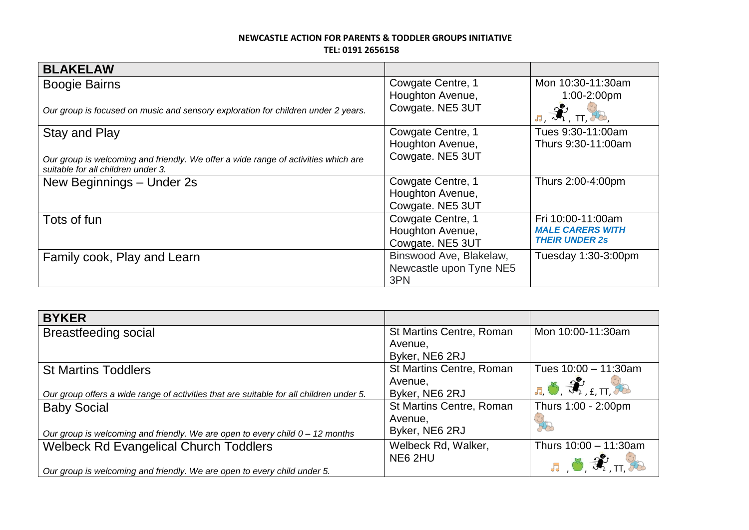| <b>BLAKELAW</b>                                                                                                          |                         |                                                 |
|--------------------------------------------------------------------------------------------------------------------------|-------------------------|-------------------------------------------------|
| <b>Boogie Bairns</b>                                                                                                     | Cowgate Centre, 1       | Mon 10:30-11:30am                               |
|                                                                                                                          | Houghton Avenue,        | 1:00-2:00pm                                     |
| Our group is focused on music and sensory exploration for children under 2 years.                                        | Cowgate. NE5 3UT        | $J_3$ , $\mathcal{R}$ , $\pi$ , $\mathcal{R}$ , |
| Stay and Play                                                                                                            | Cowgate Centre, 1       | Tues 9:30-11:00am                               |
|                                                                                                                          | Houghton Avenue,        | Thurs 9:30-11:00am                              |
| Our group is welcoming and friendly. We offer a wide range of activities which are<br>suitable for all children under 3. | Cowgate. NE5 3UT        |                                                 |
| New Beginnings - Under 2s                                                                                                | Cowgate Centre, 1       | Thurs 2:00-4:00pm                               |
|                                                                                                                          | Houghton Avenue,        |                                                 |
|                                                                                                                          | Cowgate. NE5 3UT        |                                                 |
| Tots of fun                                                                                                              | Cowgate Centre, 1       | Fri 10:00-11:00am                               |
|                                                                                                                          | Houghton Avenue,        | <b>MALE CARERS WITH</b>                         |
|                                                                                                                          | Cowgate. NE5 3UT        | <b>THEIR UNDER 2s</b>                           |
| Family cook, Play and Learn                                                                                              | Binswood Ave, Blakelaw, | Tuesday 1:30-3:00pm                             |
|                                                                                                                          | Newcastle upon Tyne NE5 |                                                 |
|                                                                                                                          | 3PN                     |                                                 |

| <b>BYKER</b>                                                                            |                                 |                                                                                                                                                                                                                                                                                                                                                                                                                     |
|-----------------------------------------------------------------------------------------|---------------------------------|---------------------------------------------------------------------------------------------------------------------------------------------------------------------------------------------------------------------------------------------------------------------------------------------------------------------------------------------------------------------------------------------------------------------|
| <b>Breastfeeding social</b>                                                             | <b>St Martins Centre, Roman</b> | Mon 10:00-11:30am                                                                                                                                                                                                                                                                                                                                                                                                   |
|                                                                                         | Avenue,                         |                                                                                                                                                                                                                                                                                                                                                                                                                     |
|                                                                                         | Byker, NE6 2RJ                  |                                                                                                                                                                                                                                                                                                                                                                                                                     |
| <b>St Martins Toddlers</b>                                                              | <b>St Martins Centre, Roman</b> | Tues $10:00 - 11:30$ am                                                                                                                                                                                                                                                                                                                                                                                             |
|                                                                                         | Avenue,                         | $J_{\overline{A}}, \overline{O}, \overline{\mathcal{H}}$ <sub>, <math>f</math>, <math>\Pi</math>, <math>\overline{O}</math></sub>                                                                                                                                                                                                                                                                                   |
| Our group offers a wide range of activities that are suitable for all children under 5. | Byker, NE6 2RJ                  |                                                                                                                                                                                                                                                                                                                                                                                                                     |
| <b>Baby Social</b>                                                                      | <b>St Martins Centre, Roman</b> | Thurs 1:00 - 2:00pm                                                                                                                                                                                                                                                                                                                                                                                                 |
|                                                                                         | Avenue,                         |                                                                                                                                                                                                                                                                                                                                                                                                                     |
| Our group is welcoming and friendly. We are open to every child $0 - 12$ months         | Byker, NE6 2RJ                  |                                                                                                                                                                                                                                                                                                                                                                                                                     |
| <b>Welbeck Rd Evangelical Church Toddlers</b>                                           | Welbeck Rd, Walker,             | Thurs $10:00 - 11:30$ am                                                                                                                                                                                                                                                                                                                                                                                            |
|                                                                                         | NE6 2HU                         | $\mathbf{J}_{1}=\mathbf{J}_{2}+\mathbf{J}_{1}+\mathbf{J}_{2}+\mathbf{J}_{3}+\mathbf{J}_{4}+\mathbf{J}_{5}+\mathbf{J}_{6}+\mathbf{J}_{7}+\mathbf{J}_{8}+\mathbf{J}_{9}+\mathbf{J}_{10}+\mathbf{J}_{11}+\mathbf{J}_{12}+\mathbf{J}_{13}+\mathbf{J}_{14}+\mathbf{J}_{15}+\mathbf{J}_{16}+\mathbf{J}_{17}+\mathbf{J}_{18}+\mathbf{J}_{19}+\mathbf{J}_{19}+\mathbf{J}_{10}+\mathbf{J}_{11}+\mathbf{J}_{12}+\mathbf{J}_{$ |
| Our group is welcoming and friendly. We are open to every child under 5.                |                                 |                                                                                                                                                                                                                                                                                                                                                                                                                     |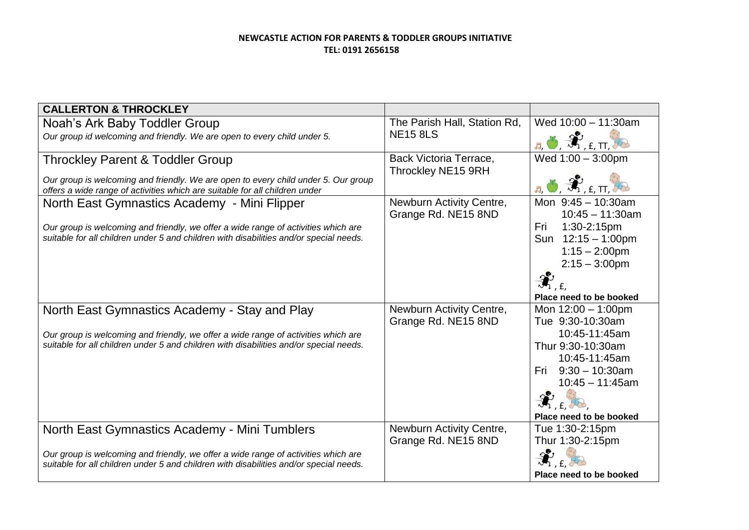| <b>CALLERTON &amp; THROCKLEY</b>                                                                                                                                             |                                                 |                                                                                  |
|------------------------------------------------------------------------------------------------------------------------------------------------------------------------------|-------------------------------------------------|----------------------------------------------------------------------------------|
| Noah's Ark Baby Toddler Group                                                                                                                                                | The Parish Hall, Station Rd,                    | Wed $10:00 - 11:30$ am                                                           |
| Our group id welcoming and friendly. We are open to every child under 5.                                                                                                     | <b>NE15 8LS</b>                                 | <mark>.д. Э. Э. е. п.</mark>                                                     |
| <b>Throckley Parent &amp; Toddler Group</b>                                                                                                                                  | Back Victoria Terrace,<br>Throckley NE15 9RH    | Wed $1:00 - 3:00$ pm                                                             |
| Our group is welcoming and friendly. We are open to every child under 5. Our group<br>offers a wide range of activities which are suitable for all children under            |                                                 | <b>J</b> , O, F, H, H, I                                                         |
| North East Gymnastics Academy - Mini Flipper                                                                                                                                 | Newburn Activity Centre,<br>Grange Rd. NE15 8ND | Mon $9:45 - 10:30$ am<br>$10:45 - 11:30am$                                       |
| Our group is welcoming and friendly, we offer a wide range of activities which are<br>suitable for all children under 5 and children with disabilities and/or special needs. |                                                 | Fri 1:30-2:15pm<br>Sun $12:15 - 1:00$ pm<br>$1:15 - 2:00$ pm<br>$2:15 - 3:00$ pm |
|                                                                                                                                                                              |                                                 | $\hat{\mathcal{H}}_{\scriptscriptstyle{f},\,f}$<br>Place need to be booked       |
| North East Gymnastics Academy - Stay and Play                                                                                                                                | Newburn Activity Centre,<br>Grange Rd. NE15 8ND | Mon $12:00 - 1:00$ pm<br>Tue 9:30-10:30am                                        |
| Our group is welcoming and friendly, we offer a wide range of activities which are<br>suitable for all children under 5 and children with disabilities and/or special needs. |                                                 | 10:45-11:45am<br>Thur 9:30-10:30am<br>10:45-11:45am<br>Fri $9:30 - 10:30$ am     |
|                                                                                                                                                                              |                                                 | $10:45 - 11:45$ am<br>$\hat{\mathcal{H}}_{\text{r},\text{f}}$                    |
| North East Gymnastics Academy - Mini Tumblers                                                                                                                                | Newburn Activity Centre,                        | Place need to be booked<br>Tue 1:30-2:15pm                                       |
| Our group is welcoming and friendly, we offer a wide range of activities which are<br>suitable for all children under 5 and children with disabilities and/or special needs. | Grange Rd. NE15 8ND                             | Thur 1:30-2:15pm<br>Place need to be booked                                      |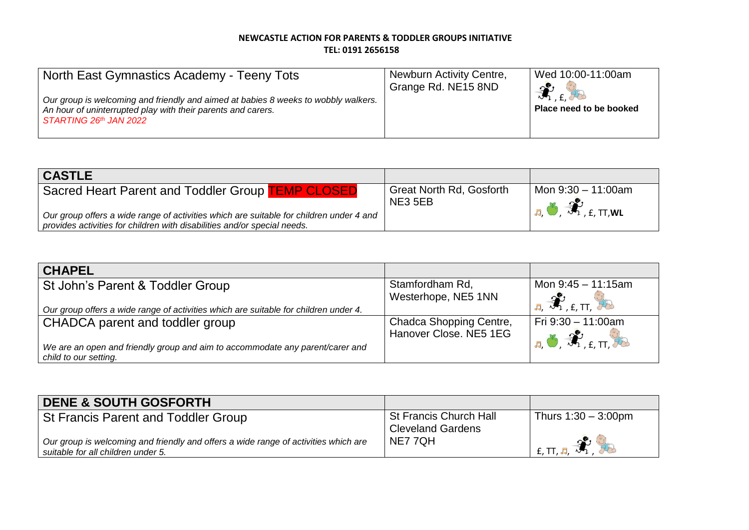| North East Gymnastics Academy - Teeny Tots<br>Our group is welcoming and friendly and aimed at babies 8 weeks to wobbly walkers.<br>An hour of uninterrupted play with their parents and carers.<br>STARTING 26th JAN 2022 | Newburn Activity Centre,<br>Grange Rd. NE15 8ND | Wed 10:00-11:00am<br>$\infty$<br>$\mathbb{Z}_{1}$ find<br>Place need to be booked |
|----------------------------------------------------------------------------------------------------------------------------------------------------------------------------------------------------------------------------|-------------------------------------------------|-----------------------------------------------------------------------------------|
|----------------------------------------------------------------------------------------------------------------------------------------------------------------------------------------------------------------------------|-------------------------------------------------|-----------------------------------------------------------------------------------|

| <b>CASTLE</b>                                                                           |                                 |                                                                                  |
|-----------------------------------------------------------------------------------------|---------------------------------|----------------------------------------------------------------------------------|
| Sacred Heart Parent and Toddler Group <b>TEMP CLOSED</b>                                | <b>Great North Rd, Gosforth</b> | Mon 9:30 - 11:00am                                                               |
|                                                                                         | NE3 5EB                         |                                                                                  |
| Our group offers a wide range of activities which are suitable for children under 4 and |                                 | $\mathbf{J}_n$ , $\mathbf{J}_n$ , $\mathbf{F}_n$ , $\mathbf{F}_n$ , $\mathbf{W}$ |
| provides activities for children with disabilities and/or special needs.                |                                 |                                                                                  |

| <b>CHAPEL</b>                                                                        |                                        |                                                                                                      |
|--------------------------------------------------------------------------------------|----------------------------------------|------------------------------------------------------------------------------------------------------|
| St John's Parent & Toddler Group                                                     | Stamfordham Rd,<br>Westerhope, NE5 1NN | Mon 9:45 - 11:15am<br>$\mathcal{R}_{\text{LIT}}$                                                     |
| Our group offers a wide range of activities which are suitable for children under 4. |                                        |                                                                                                      |
| CHADCA parent and toddler group                                                      | Chadca Shopping Centre,                | Fri $9:30 - 11:00$ am                                                                                |
|                                                                                      | Hanover Close. NE5 1EG                 | $\vert$ $\bf{J}_{\rm d}$ , $\bf{J}_{\rm d}$ , $\bf{J}_{\rm d}$ , $\bf{L}_{\rm d}$ , $\bf{L}_{\rm d}$ |
| We are an open and friendly group and aim to accommodate any parent/carer and        |                                        |                                                                                                      |
| child to our setting.                                                                |                                        |                                                                                                      |

| <b>DENE &amp; SOUTH GOSFORTH</b>                                                                                          |                                                           |                                                                      |
|---------------------------------------------------------------------------------------------------------------------------|-----------------------------------------------------------|----------------------------------------------------------------------|
| St Francis Parent and Toddler Group                                                                                       | <b>St Francis Church Hall</b><br><b>Cleveland Gardens</b> | Thurs $1:30 - 3:00$ pm                                               |
| Our group is welcoming and friendly and offers a wide range of activities which are<br>suitable for all children under 5. | NE7 7QH                                                   | $\sim$<br>$f$ , TT, $\overline{d}$ , $\overline{M}$ , $\overline{M}$ |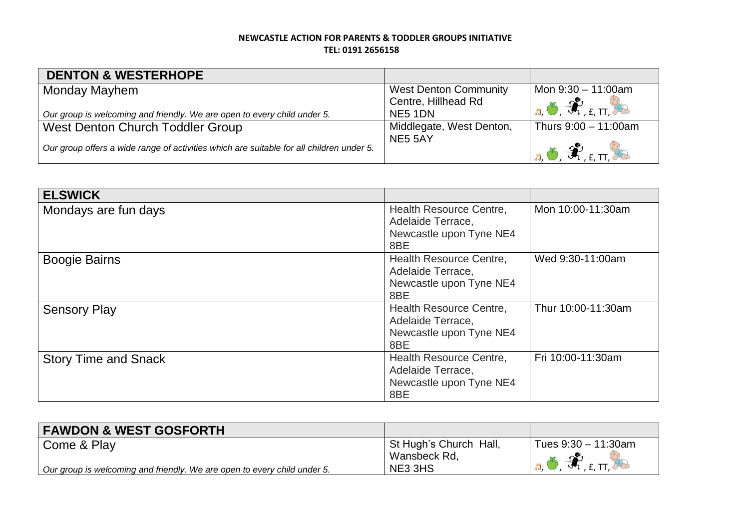| <b>DENTON &amp; WESTERHOPE</b>                                                           |                              |                                                                                                          |
|------------------------------------------------------------------------------------------|------------------------------|----------------------------------------------------------------------------------------------------------|
| Monday Mayhem                                                                            | <b>West Denton Community</b> | Mon 9:30 - 11:00am                                                                                       |
|                                                                                          | Centre, Hillhead Rd          | $\vert$ <sub>J</sub> , Ö, $\hat{\mathcal{H}}$ , $_{\text{f. T.}}$ $\phi$                                 |
| Our group is welcoming and friendly. We are open to every child under 5.                 | NE5 1DN                      |                                                                                                          |
| West Denton Church Toddler Group                                                         | Middlegate, West Denton,     | Thurs $9:00 - 11:00$ am                                                                                  |
| Our group offers a wide range of activities which are suitable for all children under 5. | NE5 5AY                      | $\vert$ <sub>a</sub> $\bullet$ $\hat{\mathcal{H}}$ <sub>, f, <math>\Pi</math>, <math>\theta</math></sub> |

| <b>ELSWICK</b>              |                                                                                |                    |
|-----------------------------|--------------------------------------------------------------------------------|--------------------|
| Mondays are fun days        | Health Resource Centre,<br>Adelaide Terrace,<br>Newcastle upon Tyne NE4<br>8BE | Mon 10:00-11:30am  |
| <b>Boogie Bairns</b>        | Health Resource Centre,<br>Adelaide Terrace,<br>Newcastle upon Tyne NE4<br>8BE | Wed 9:30-11:00am   |
| <b>Sensory Play</b>         | Health Resource Centre,<br>Adelaide Terrace,<br>Newcastle upon Tyne NE4<br>8BE | Thur 10:00-11:30am |
| <b>Story Time and Snack</b> | Health Resource Centre,<br>Adelaide Terrace,<br>Newcastle upon Tyne NE4<br>8BE | Fri 10:00-11:30am  |

| <b>FAWDON &amp; WEST GOSFORTH</b>                                        |                                        |                                                                                                                      |
|--------------------------------------------------------------------------|----------------------------------------|----------------------------------------------------------------------------------------------------------------------|
| Come & Play                                                              | St Hugh's Church Hall,<br>Wansbeck Rd, | Tues $9:30 - 11:30$ am                                                                                               |
| Our group is welcoming and friendly. We are open to every child under 5. | NE3 3HS                                | $\overline{A}$ , $\overline{B}$ , $\overline{B}$ , $\overline{B}$ , $\overline{E}$ , $\overline{H}$ , $\overline{H}$ |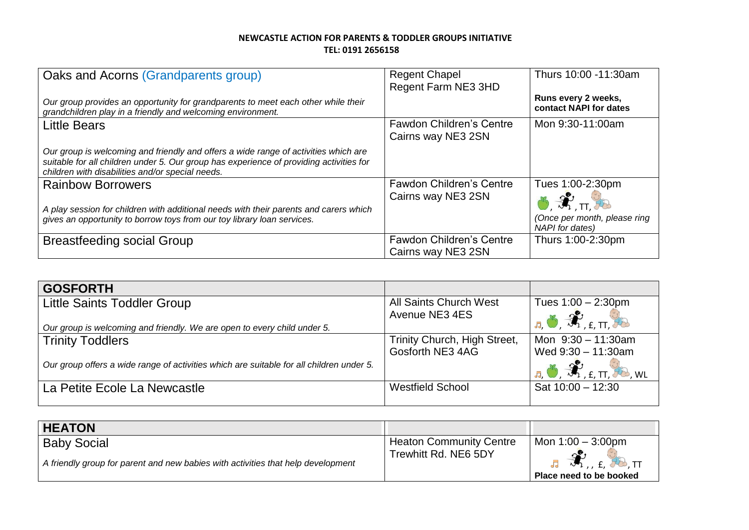| Oaks and Acorns (Grandparents group)                                                                                                                                                                                               | <b>Regent Chapel</b><br>Regent Farm NE3 3HD           | Thurs 10:00 -11:30am                                   |
|------------------------------------------------------------------------------------------------------------------------------------------------------------------------------------------------------------------------------------|-------------------------------------------------------|--------------------------------------------------------|
| Our group provides an opportunity for grandparents to meet each other while their<br>grandchildren play in a friendly and welcoming environment.                                                                                   |                                                       | Runs every 2 weeks,<br>contact NAPI for dates          |
| <b>Little Bears</b>                                                                                                                                                                                                                | <b>Fawdon Children's Centre</b><br>Cairns way NE3 2SN | Mon 9:30-11:00am                                       |
| Our group is welcoming and friendly and offers a wide range of activities which are<br>suitable for all children under 5. Our group has experience of providing activities for<br>children with disabilities and/or special needs. |                                                       |                                                        |
| <b>Rainbow Borrowers</b>                                                                                                                                                                                                           | <b>Fawdon Children's Centre</b><br>Cairns way NE3 2SN | Tues 1:00-2:30pm<br>$8x + 92$                          |
| A play session for children with additional needs with their parents and carers which<br>gives an opportunity to borrow toys from our toy library loan services.                                                                   |                                                       | (Once per month, please ring<br><b>NAPI</b> for dates) |
| <b>Breastfeeding social Group</b>                                                                                                                                                                                                  | <b>Fawdon Children's Centre</b><br>Cairns way NE3 2SN | Thurs 1:00-2:30pm                                      |

| <b>GOSFORTH</b>                                                                          |                               |                                                                                |
|------------------------------------------------------------------------------------------|-------------------------------|--------------------------------------------------------------------------------|
| <b>Little Saints Toddler Group</b>                                                       | <b>All Saints Church West</b> | Tues $1:00 - 2:30$ pm                                                          |
|                                                                                          | Avenue NE3 4ES                | $\mathbf{a}, \mathbf{b}, \mathbf{a}$ , $\mathbf{f}, \mathbf{m}$ , $\mathbf{b}$ |
| Our group is welcoming and friendly. We are open to every child under 5.                 |                               |                                                                                |
| <b>Trinity Toddlers</b>                                                                  | Trinity Church, High Street,  | Mon $9:30 - 11:30$ am                                                          |
|                                                                                          | Gosforth NE3 4AG              | Wed $9:30 - 11:30$ am                                                          |
| Our group offers a wide range of activities which are suitable for all children under 5. |                               | $E_{\rm B}$ of $\hat{\mathcal{R}}_{\rm I, E, TI}$<br>$\rightarrow$ . WL        |
| La Petite Ecole La Newcastle                                                             | <b>Westfield School</b>       | Sat $10:00 - 12:30$                                                            |
|                                                                                          |                               |                                                                                |

| <b>HEATON</b>                                                                                          |                                                        |                                                                              |
|--------------------------------------------------------------------------------------------------------|--------------------------------------------------------|------------------------------------------------------------------------------|
| <b>Baby Social</b><br>A friendly group for parent and new babies with activities that help development | <b>Heaton Community Centre</b><br>Trewhitt Rd. NE6 5DY | Mon $1:00 - 3:00$ pm<br>$J_1 \rightarrow J_1$ , $f_1 \rightarrow h_2$ , $TT$ |
|                                                                                                        |                                                        | Place need to be booked                                                      |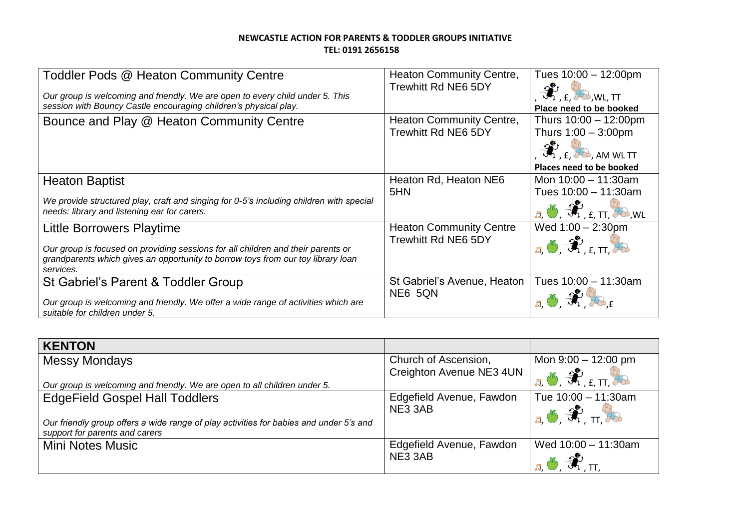| Toddler Pods @ Heaton Community Centre<br>Our group is welcoming and friendly. We are open to every child under 5. This<br>session with Bouncy Castle encouraging children's physical play.                           | <b>Heaton Community Centre,</b><br><b>Trewhitt Rd NE6 5DY</b> | Tues $10:00 - 12:00$ pm<br>$K$ , $E$ , $H_0$ , WL, TT<br>Place need to be booked                                                                |
|-----------------------------------------------------------------------------------------------------------------------------------------------------------------------------------------------------------------------|---------------------------------------------------------------|-------------------------------------------------------------------------------------------------------------------------------------------------|
| Bounce and Play @ Heaton Community Centre                                                                                                                                                                             | <b>Heaton Community Centre,</b><br><b>Trewhitt Rd NE6 5DY</b> | Thurs $10:00 - 12:00$ pm<br>Thurs $1:00 - 3:00$ pm<br>$\mathcal{L}_{1, f}$ , $\mathcal{L}_{2, A}$ am wl $\Pi$<br>Places need to be booked       |
| <b>Heaton Baptist</b><br>We provide structured play, craft and singing for 0-5's including children with special<br>needs: library and listening ear for carers.                                                      | Heaton Rd, Heaton NE6<br>5HN                                  | Mon $10:00 - 11:30$ am<br>Tues $10:00 - 11:30$ am<br>$J_{\overline{A}}, \overline{O}, \overline{3N}$ , $\epsilon$ , $TT$ , $\overline{7D}$ , WL |
| <b>Little Borrowers Playtime</b><br>Our group is focused on providing sessions for all children and their parents or<br>grandparents which gives an opportunity to borrow toys from our toy library loan<br>services. | <b>Heaton Community Centre</b><br><b>Trewhitt Rd NE6 5DY</b>  | Wed $1:00 - 2:30$ pm<br>$J_{\rm d}$ , $\mathcal{F}_{\rm f, f, T}$ , $\mathcal{F}_{\rm f, f, T}$                                                 |
| St Gabriel's Parent & Toddler Group<br>Our group is welcoming and friendly. We offer a wide range of activities which are<br>suitable for children under 5.                                                           | St Gabriel's Avenue, Heaton<br>NE6 5QN                        | Tues 10:00 - 11:30am                                                                                                                            |

| <b>KENTON</b>                                                                                                            |                          |                                                                   |
|--------------------------------------------------------------------------------------------------------------------------|--------------------------|-------------------------------------------------------------------|
| <b>Messy Mondays</b>                                                                                                     | Church of Ascension,     | Mon $9:00 - 12:00$ pm                                             |
| Our group is welcoming and friendly. We are open to all children under 5.                                                | Creighton Avenue NE3 4UN | $\big $ <sub>, 5</sub> , 5, $\mathcal{R}_{\rm{r.f.}}$ $\big $     |
| <b>EdgeField Gospel Hall Toddlers</b>                                                                                    | Edgefield Avenue, Fawdon | Tue $10:00 - 11:30$ am                                            |
| Our friendly group offers a wide range of play activities for babies and under 5's and<br>support for parents and carers | NE3 3AB                  | $\mathbf{L}_n$ , $\mathbf{L}_n$ , $\mathbf{L}_n$ , $\mathbf{L}_n$ |
| Mini Notes Music                                                                                                         | Edgefield Avenue, Fawdon | Wed $10:00 - 11:30$ am                                            |
|                                                                                                                          | NE3 3AB                  |                                                                   |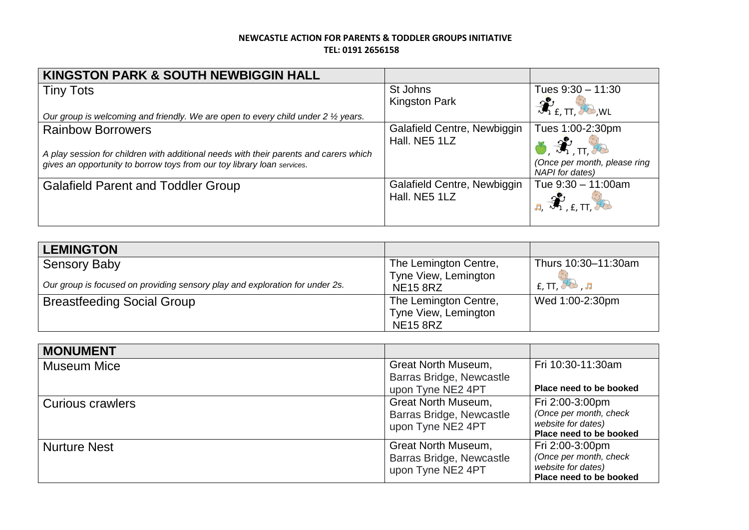| <b>KINGSTON PARK &amp; SOUTH NEWBIGGIN HALL</b>                                                                                                                                              |                                              |                                                                            |
|----------------------------------------------------------------------------------------------------------------------------------------------------------------------------------------------|----------------------------------------------|----------------------------------------------------------------------------|
| <b>Tiny Tots</b><br>Our group is welcoming and friendly. We are open to every child under $2 \frac{1}{2}$ years.                                                                             | St Johns<br><b>Kingston Park</b>             | Tues $9:30 - 11:30$<br>$\mathcal{R}_{\text{f. TI}}$ , wl                   |
| <b>Rainbow Borrowers</b><br>A play session for children with additional needs with their parents and carers which<br>gives an opportunity to borrow toys from our toy library loan services. | Galafield Centre, Newbiggin<br>Hall, NE5 1LZ | Tues 1:00-2:30pm<br>(Once per month, please ring<br><b>NAPI</b> for dates) |
| <b>Galafield Parent and Toddler Group</b>                                                                                                                                                    | Galafield Centre, Newbiggin<br>Hall, NE5 1LZ | Tue $9:30 - 11:00$ am                                                      |

| <b>LEMINGTON</b>                                                             |                       |                                                                         |
|------------------------------------------------------------------------------|-----------------------|-------------------------------------------------------------------------|
| <b>Sensory Baby</b>                                                          | The Lemington Centre, | Thurs 10:30-11:30am                                                     |
|                                                                              | Tyne View, Lemington  |                                                                         |
| Our group is focused on providing sensory play and exploration for under 2s. | <b>NE15 8RZ</b>       | $f$ , TT, $\overline{f}$ $\overline{f}$ $\overline{f}$ , $\overline{f}$ |
| <b>Breastfeeding Social Group</b>                                            | The Lemington Centre, | Wed 1:00-2:30pm                                                         |
|                                                                              | Tyne View, Lemington  |                                                                         |
|                                                                              | <b>NE15 8RZ</b>       |                                                                         |

| <b>MONUMENT</b>     |                                                                             |                                                                                            |
|---------------------|-----------------------------------------------------------------------------|--------------------------------------------------------------------------------------------|
| <b>Museum Mice</b>  | Great North Museum,<br>Barras Bridge, Newcastle<br>upon Tyne NE2 4PT        | Fri 10:30-11:30am<br>Place need to be booked                                               |
| Curious crawlers    | <b>Great North Museum,</b><br>Barras Bridge, Newcastle<br>upon Tyne NE2 4PT | Fri 2:00-3:00pm<br>(Once per month, check<br>website for dates)<br>Place need to be booked |
| <b>Nurture Nest</b> | Great North Museum,<br>Barras Bridge, Newcastle<br>upon Tyne NE2 4PT        | Fri 2:00-3:00pm<br>(Once per month, check<br>website for dates)<br>Place need to be booked |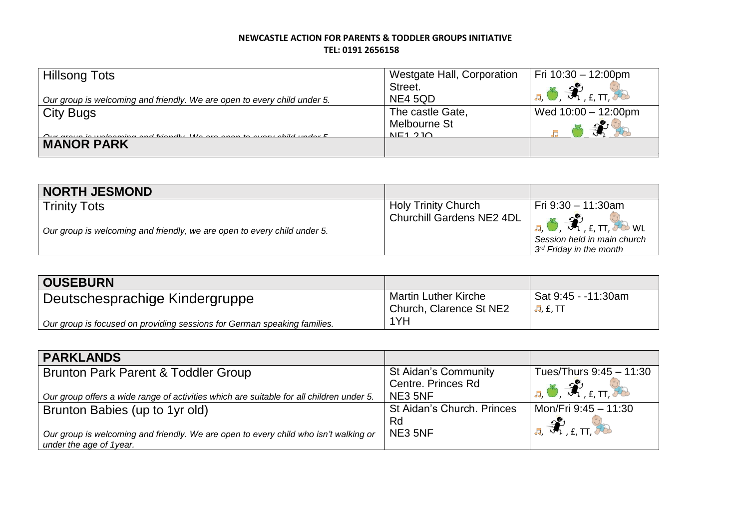| <b>Hillsong Tots</b>                                                     | Westgate Hall, Corporation | Fri $10:30 - 12:00$ pm                               |
|--------------------------------------------------------------------------|----------------------------|------------------------------------------------------|
|                                                                          | Street.                    | $\mathbf{L} \bullet \mathcal{R}_{\text{L}}$ , we set |
| Our group is welcoming and friendly. We are open to every child under 5. | NE4 5QD                    |                                                      |
| <b>City Bugs</b>                                                         | The castle Gate,           | Wed $10:00 - 12:00$ pm                               |
|                                                                          | Melbourne St               | $\infty$                                             |
|                                                                          | NFA 2I                     |                                                      |
| <b>MANOR PARK</b>                                                        |                            |                                                      |

| <b>NORTH JESMOND</b>                                                                            |                                                         |                                                                                                                                                                                          |
|-------------------------------------------------------------------------------------------------|---------------------------------------------------------|------------------------------------------------------------------------------------------------------------------------------------------------------------------------------------------|
| <b>Trinity Tots</b><br>Our group is welcoming and friendly, we are open to every child under 5. | <b>Holy Trinity Church</b><br>Churchill Gardens NE2 4DL | l Fri 9:30 – 11:30am<br>$\mathbf{E}$ , $\mathbf{B}$ , $\mathbf{B}$ , $\mathbf{E}$ , $\mathbf{H}$ , $\mathbf{E}$ we<br>Session held in main church<br>3 <sup>rd</sup> Friday in the month |

| <b>OUSEBURN</b>                                                          |                                                 |                                        |
|--------------------------------------------------------------------------|-------------------------------------------------|----------------------------------------|
| Deutschesprachige Kindergruppe                                           | Martin Luther Kirche<br>Church, Clarence St NE2 | Sat 9:45 - -11:30am<br><b>昂, £, TT</b> |
| Our group is focused on providing sessions for German speaking families. | 1YH                                             |                                        |

| <b>PARKLANDS</b>                                                                         |                             |                                                                          |
|------------------------------------------------------------------------------------------|-----------------------------|--------------------------------------------------------------------------|
| Brunton Park Parent & Toddler Group                                                      | <b>St Aidan's Community</b> | Tues/Thurs 9:45 - 11:30                                                  |
|                                                                                          | Centre. Princes Rd          | $\mathbf{E}$ , $\mathbf{E}$ , $\mathbf{E}$ , $\mathbf{H}$ , $\mathbf{E}$ |
| Our group offers a wide range of activities which are suitable for all children under 5. | NE3 5NF                     |                                                                          |
| Brunton Babies (up to 1yr old)                                                           | St Aidan's Church. Princes  | Mon/Fri 9:45 - 11:30                                                     |
|                                                                                          | Rd                          | $\mathbf{r}_{\mathrm{r},\mathrm{r}}$                                     |
| Our group is welcoming and friendly. We are open to every child who isn't walking or     | NE3 5NF                     |                                                                          |
| under the age of 1year.                                                                  |                             |                                                                          |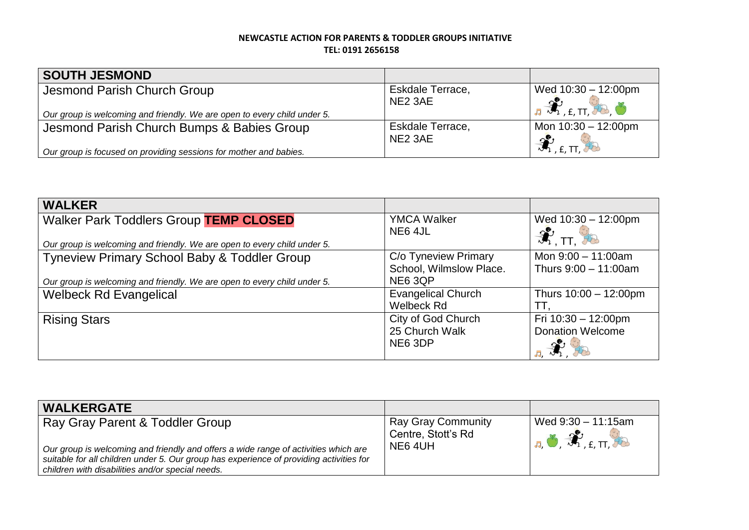| <b>SOUTH JESMOND</b>                                                     |                     |                               |
|--------------------------------------------------------------------------|---------------------|-------------------------------|
| Jesmond Parish Church Group                                              | Eskdale Terrace,    | Wed $10:30 - 12:00$ pm        |
|                                                                          | NE <sub>2</sub> 3AE | <b>BU</b> ET HO O             |
| Our group is welcoming and friendly. We are open to every child under 5. |                     |                               |
| Jesmond Parish Church Bumps & Babies Group                               | Eskdale Terrace,    | Mon $10:30 - 12:00$ pm        |
|                                                                          | NE <sub>2</sub> 3AE | $\mathcal{R}_{\text{.E, TI}}$ |
| Our group is focused on providing sessions for mother and babies.        |                     |                               |

| <b>WALKER</b>                                                            |                           |                           |
|--------------------------------------------------------------------------|---------------------------|---------------------------|
| <b>Walker Park Toddlers Group TEMP CLOSED</b>                            | <b>YMCA Walker</b>        | Wed $10:30 - 12:00$ pm    |
| Our group is welcoming and friendly. We are open to every child under 5. | NE6 4JL                   | $\hat{\mathcal{H}}$ . TT. |
| Tyneview Primary School Baby & Toddler Group                             | C/o Tyneview Primary      | Mon $9:00 - 11:00$ am     |
|                                                                          | School, Wilmslow Place.   | Thurs $9:00 - 11:00$ am   |
| Our group is welcoming and friendly. We are open to every child under 5. | NE6 3QP                   |                           |
| <b>Welbeck Rd Evangelical</b>                                            | <b>Evangelical Church</b> | Thurs 10:00 - 12:00pm     |
|                                                                          | Welbeck Rd                | TТ                        |
| <b>Rising Stars</b>                                                      | City of God Church        | Fri 10:30 - 12:00pm       |
|                                                                          | 25 Church Walk            | <b>Donation Welcome</b>   |
|                                                                          | NE6 3DP                   | 55.                       |

| <b>WALKERGATE</b>                                                                                                                                                                                                                                                     |                                                           |                                                                                                               |
|-----------------------------------------------------------------------------------------------------------------------------------------------------------------------------------------------------------------------------------------------------------------------|-----------------------------------------------------------|---------------------------------------------------------------------------------------------------------------|
| Ray Gray Parent & Toddler Group<br>Our group is welcoming and friendly and offers a wide range of activities which are<br>suitable for all children under 5. Our group has experience of providing activities for<br>children with disabilities and/or special needs. | <b>Ray Gray Community</b><br>Centre, Stott's Rd<br>NE64UH | Wed 9:30 - 11:15am<br>$I_{\overline{a}}$ , $\overline{\mathcal{X}}$ $_{\text{f.T.}}$ $\overline{\mathcal{Y}}$ |